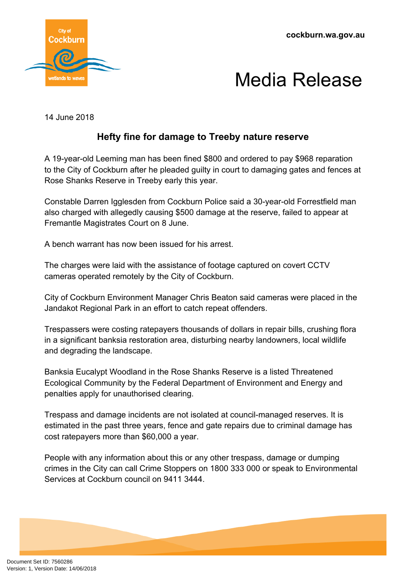



14 June 2018

## **Hefty fine for damage to Treeby nature reserve**

A 19-year-old Leeming man has been fined \$800 and ordered to pay \$968 reparation to the City of Cockburn after he pleaded guilty in court to damaging gates and fences at Rose Shanks Reserve in Treeby early this year.

Constable Darren Igglesden from Cockburn Police said a 30-year-old Forrestfield man also charged with allegedly causing \$500 damage at the reserve, failed to appear at Fremantle Magistrates Court on 8 June.

A bench warrant has now been issued for his arrest.

The charges were laid with the assistance of footage captured on covert CCTV cameras operated remotely by the City of Cockburn.

City of Cockburn Environment Manager Chris Beaton said cameras were placed in the Jandakot Regional Park in an effort to catch repeat offenders.

Trespassers were costing ratepayers thousands of dollars in repair bills, crushing flora in a significant banksia restoration area, disturbing nearby landowners, local wildlife and degrading the landscape.

Banksia Eucalypt Woodland in the Rose Shanks Reserve is a listed Threatened Ecological Community by the Federal Department of Environment and Energy and penalties apply for unauthorised clearing.

Trespass and damage incidents are not isolated at council-managed reserves. It is estimated in the past three years, fence and gate repairs due to criminal damage has cost ratepayers more than \$60,000 a year.

People with any information about this or any other trespass, damage or dumping crimes in the City can call Crime Stoppers on 1800 333 000 or speak to Environmental Services at Cockburn council on 9411 3444.